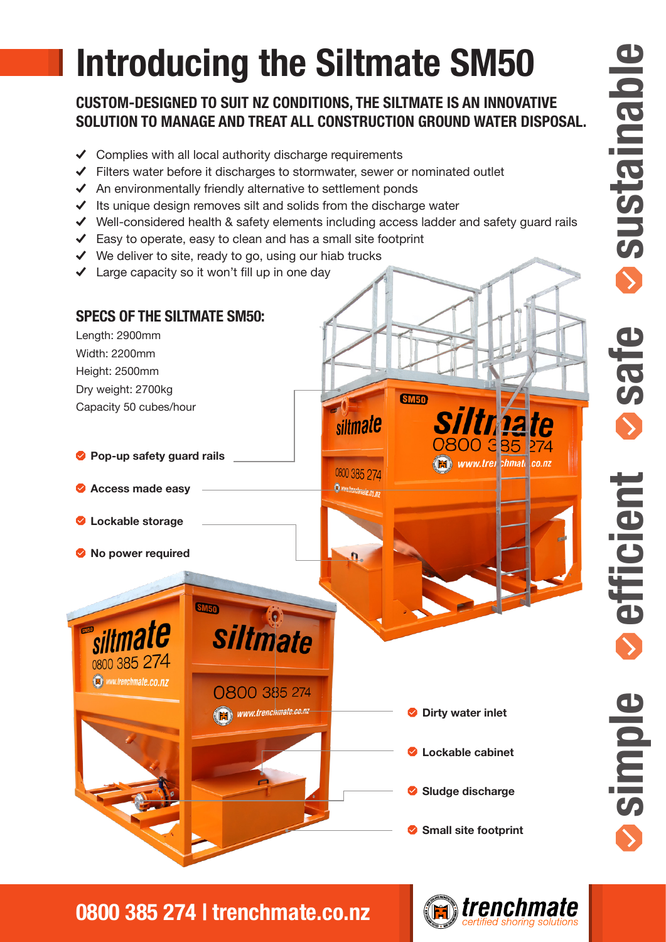# **Introducing the Siltmate SM50**

#### **CUSTOM-DESIGNED TO SUIT NZ CONDITIONS, THE SILTMATE IS AN INNOVATIVE SOLUTION TO MANAGE AND TREAT ALL CONSTRUCTION GROUND WATER DISPOSAL.**

- $\checkmark$  Complies with all local authority discharge requirements
- $\checkmark$  Filters water before it discharges to stormwater, sewer or nominated outlet
- $\blacktriangleright$  An environmentally friendly alternative to settlement ponds
- $\checkmark$  Its unique design removes silt and solids from the discharge water
- $\checkmark$  Well-considered health & safety elements including access ladder and safety quard rails
- $\triangleleft$  Easy to operate, easy to clean and has a small site footprint
- $\checkmark$  We deliver to site, ready to go, using our hiab trucks
- Large capacity so it won't fill up in one day



**0800 385 274 | trenchmate.co.nz**